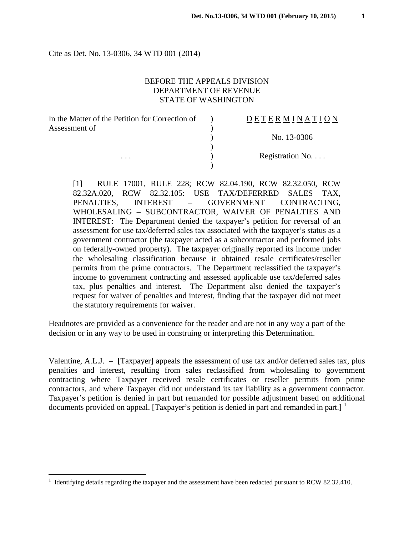Cite as Det. No. 13-0306, 34 WTD 001 (2014)

# BEFORE THE APPEALS DIVISION DEPARTMENT OF REVENUE STATE OF WASHINGTON

| In the Matter of the Petition for Correction of | <b>DETERMINATION</b> |
|-------------------------------------------------|----------------------|
| Assessment of                                   |                      |
|                                                 | No. 13-0306          |
|                                                 |                      |
| $\cdots$                                        | Registration No      |
|                                                 |                      |

[1] RULE 17001, RULE 228; RCW 82.04.190, RCW 82.32.050, RCW 82.32A.020, RCW 82.32.105: USE TAX/DEFERRED SALES TAX, PENALTIES, INTEREST – GOVERNMENT CONTRACTING, WHOLESALING – SUBCONTRACTOR, WAIVER OF PENALTIES AND INTEREST: The Department denied the taxpayer's petition for reversal of an assessment for use tax/deferred sales tax associated with the taxpayer's status as a government contractor (the taxpayer acted as a subcontractor and performed jobs on federally-owned property). The taxpayer originally reported its income under the wholesaling classification because it obtained resale certificates/reseller permits from the prime contractors. The Department reclassified the taxpayer's income to government contracting and assessed applicable use tax/deferred sales tax, plus penalties and interest. The Department also denied the taxpayer's request for waiver of penalties and interest, finding that the taxpayer did not meet the statutory requirements for waiver.

Headnotes are provided as a convenience for the reader and are not in any way a part of the decision or in any way to be used in construing or interpreting this Determination.

Valentine, A.L.J. – [Taxpayer] appeals the assessment of use tax and/or deferred sales tax, plus penalties and interest, resulting from sales reclassified from wholesaling to government contracting where Taxpayer received resale certificates or reseller permits from prime contractors, and where Taxpayer did not understand its tax liability as a government contractor. Taxpayer's petition is denied in part but remanded for possible adjustment based on additional documents provided on appeal. [Taxpayer's petition is denied in part and remanded in part.]  $\frac{1}{1}$  $\frac{1}{1}$  $\frac{1}{1}$ 

<span id="page-0-0"></span><sup>1</sup> Identifying details regarding the taxpayer and the assessment have been redacted pursuant to RCW 82.32.410.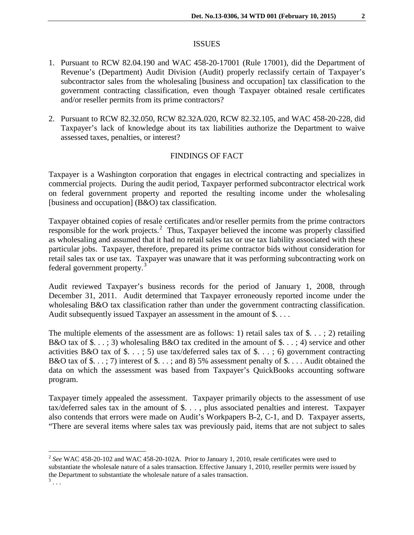#### ISSUES

- 1. Pursuant to RCW 82.04.190 and WAC 458-20-17001 (Rule 17001), did the Department of Revenue's (Department) Audit Division (Audit) properly reclassify certain of Taxpayer's subcontractor sales from the wholesaling [business and occupation] tax classification to the government contracting classification, even though Taxpayer obtained resale certificates and/or reseller permits from its prime contractors?
- 2. Pursuant to RCW 82.32.050, RCW 82.32A.020, RCW 82.32.105, and WAC 458-20-228, did Taxpayer's lack of knowledge about its tax liabilities authorize the Department to waive assessed taxes, penalties, or interest?

# FINDINGS OF FACT

Taxpayer is a Washington corporation that engages in electrical contracting and specializes in commercial projects. During the audit period, Taxpayer performed subcontractor electrical work on federal government property and reported the resulting income under the wholesaling [business and occupation] (B&O) tax classification.

Taxpayer obtained copies of resale certificates and/or reseller permits from the prime contractors responsible for the work projects.<sup>[2](#page-1-0)</sup> Thus, Taxpayer believed the income was properly classified as wholesaling and assumed that it had no retail sales tax or use tax liability associated with these particular jobs. Taxpayer, therefore, prepared its prime contractor bids without consideration for retail sales tax or use tax. Taxpayer was unaware that it was performing subcontracting work on federal government property.[3](#page-1-1)

Audit reviewed Taxpayer's business records for the period of January 1, 2008, through December 31, 2011. Audit determined that Taxpayer erroneously reported income under the wholesaling B&O tax classification rather than under the government contracting classification. Audit subsequently issued Taxpayer an assessment in the amount of \$....

The multiple elements of the assessment are as follows: 1) retail sales tax of \$...; 2) retailing B&O tax of \$...; 3) wholesaling B&O tax credited in the amount of  $\$ \dots$ ; 4) service and other activities B&O tax of \$...; 5) use tax/deferred sales tax of  $\$ ...; 6) government contracting B&O tax of  $\$ . . . ; 7) interest of  $\$ . . . ; and 8) 5% assessment penalty of  $\$ . . . . Audit obtained the data on which the assessment was based from Taxpayer's QuickBooks accounting software program.

Taxpayer timely appealed the assessment. Taxpayer primarily objects to the assessment of use tax/deferred sales tax in the amount of \$. . . , plus associated penalties and interest. Taxpayer also contends that errors were made on Audit's Workpapers B-2, C-1, and D. Taxpayer asserts, "There are several items where sales tax was previously paid, items that are not subject to sales

<span id="page-1-0"></span><sup>2</sup> *See* WAC 458-20-102 and WAC 458-20-102A. Prior to January 1, 2010, resale certificates were used to substantiate the wholesale nature of a sales transaction. Effective January 1, 2010, reseller permits were issued by the Department to substantiate the wholesale nature of a sales transaction.

<span id="page-1-1"></span> $3 \ldots$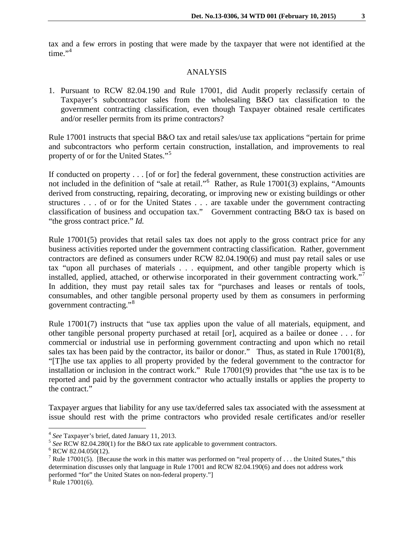tax and a few errors in posting that were made by the taxpayer that were not identified at the time." $4$ 

#### ANALYSIS

1. Pursuant to RCW 82.04.190 and Rule 17001, did Audit properly reclassify certain of Taxpayer's subcontractor sales from the wholesaling B&O tax classification to the government contracting classification, even though Taxpayer obtained resale certificates and/or reseller permits from its prime contractors?

Rule 17001 instructs that special B&O tax and retail sales/use tax applications "pertain for prime and subcontractors who perform certain construction, installation, and improvements to real property of or for the United States."<sup>[5](#page-2-1)</sup>

If conducted on property . . . [of or for] the federal government, these construction activities are not included in the definition of "sale at retail."[6](#page-2-2) Rather, as Rule 17001(3) explains, "Amounts derived from constructing, repairing, decorating, or improving new or existing buildings or other structures . . . of or for the United States . . . are taxable under the government contracting classification of business and occupation tax." Government contracting B&O tax is based on "the gross contract price." *Id.*

Rule 17001(5) provides that retail sales tax does not apply to the gross contract price for any business activities reported under the government contracting classification. Rather, government contractors are defined as consumers under RCW 82.04.190(6) and must pay retail sales or use tax "upon all purchases of materials . . . equipment, and other tangible property which is installed, applied, attached, or otherwise incorporated in their government contracting work."[7](#page-2-3) In addition, they must pay retail sales tax for "purchases and leases or rentals of tools, consumables, and other tangible personal property used by them as consumers in performing government contracting."[8](#page-2-4)

Rule 17001(7) instructs that "use tax applies upon the value of all materials, equipment, and other tangible personal property purchased at retail [or], acquired as a bailee or donee . . . for commercial or industrial use in performing government contracting and upon which no retail sales tax has been paid by the contractor, its bailor or donor." Thus, as stated in Rule 17001(8), "[T]he use tax applies to all property provided by the federal government to the contractor for installation or inclusion in the contract work." Rule 17001(9) provides that "the use tax is to be reported and paid by the government contractor who actually installs or applies the property to the contract."

Taxpayer argues that liability for any use tax/deferred sales tax associated with the assessment at issue should rest with the prime contractors who provided resale certificates and/or reseller

<span id="page-2-1"></span><span id="page-2-0"></span><sup>&</sup>lt;sup>4</sup> *See* Taxpayer's brief, dated January 11, 2013.<br><sup>5</sup> *See* RCW 82.04.280(1) for the B&O tax rate applicable to government contractors. <sup>6</sup> RCW 82.04.050(12).

<span id="page-2-2"></span>

<span id="page-2-3"></span><sup>&</sup>lt;sup>7</sup> Rule 17001(5). [Because the work in this matter was performed on "real property of ... the United States," this determination discusses only that language in Rule 17001 and RCW 82.04.190(6) and does not address work performed "for" the United States on non-federal property."] <sup>8</sup> Rule 17001(6).

<span id="page-2-4"></span>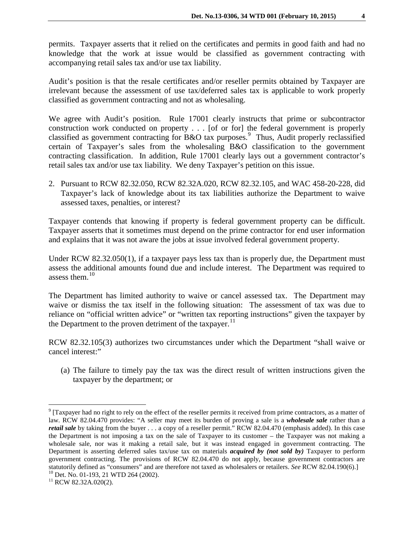permits. Taxpayer asserts that it relied on the certificates and permits in good faith and had no knowledge that the work at issue would be classified as government contracting with accompanying retail sales tax and/or use tax liability.

Audit's position is that the resale certificates and/or reseller permits obtained by Taxpayer are irrelevant because the assessment of use tax/deferred sales tax is applicable to work properly classified as government contracting and not as wholesaling.

We agree with Audit's position. Rule 17001 clearly instructs that prime or subcontractor construction work conducted on property . . . [of or for] the federal government is properly classified as government contracting for B&O tax purposes.<sup>[9](#page-3-0)</sup> Thus, Audit properly reclassified certain of Taxpayer's sales from the wholesaling B&O classification to the government contracting classification. In addition, Rule 17001 clearly lays out a government contractor's retail sales tax and/or use tax liability. We deny Taxpayer's petition on this issue.

2. Pursuant to RCW 82.32.050, RCW 82.32A.020, RCW 82.32.105, and WAC 458-20-228, did Taxpayer's lack of knowledge about its tax liabilities authorize the Department to waive assessed taxes, penalties, or interest?

Taxpayer contends that knowing if property is federal government property can be difficult. Taxpayer asserts that it sometimes must depend on the prime contractor for end user information and explains that it was not aware the jobs at issue involved federal government property.

Under RCW 82.32.050(1), if a taxpayer pays less tax than is properly due, the Department must assess the additional amounts found due and include interest. The Department was required to assess them. $10$ 

The Department has limited authority to waive or cancel assessed tax. The Department may waive or dismiss the tax itself in the following situation: The assessment of tax was due to reliance on "official written advice" or "written tax reporting instructions" given the taxpayer by the Department to the proven detriment of the taxpayer.<sup>[11](#page-3-2)</sup>

RCW 82.32.105(3) authorizes two circumstances under which the Department "shall waive or cancel interest:"

(a) The failure to timely pay the tax was the direct result of written instructions given the taxpayer by the department; or

<span id="page-3-0"></span> $9$  [Taxpayer had no right to rely on the effect of the reseller permits it received from prime contractors, as a matter of law. RCW 82.04.470 provides: "A seller may meet its burden of proving a sale is a *wholesale sale* rather than a *retail sale* by taking from the buyer . . . a copy of a reseller permit." RCW 82.04.470 (emphasis added). In this case the Department is not imposing a tax on the sale of Taxpayer to its customer – the Taxpayer was not making a wholesale sale, nor was it making a retail sale, but it was instead engaged in government contracting. The Department is asserting deferred sales tax/use tax on materials *acquired by (not sold by)* Taxpayer to perform government contracting. The provisions of RCW 82.04.470 do not apply, because government contractors are statutorily defined as "consumers" and are therefore not taxed as wholesalers or retailers. *See* RCW 82.04.190(6).]<br><sup>10</sup> Det. No. 01-193, 21 WTD 264 (2002).<br><sup>11</sup> RCW 82.32A.020(2).  $\overline{a}$ 

<span id="page-3-2"></span><span id="page-3-1"></span>